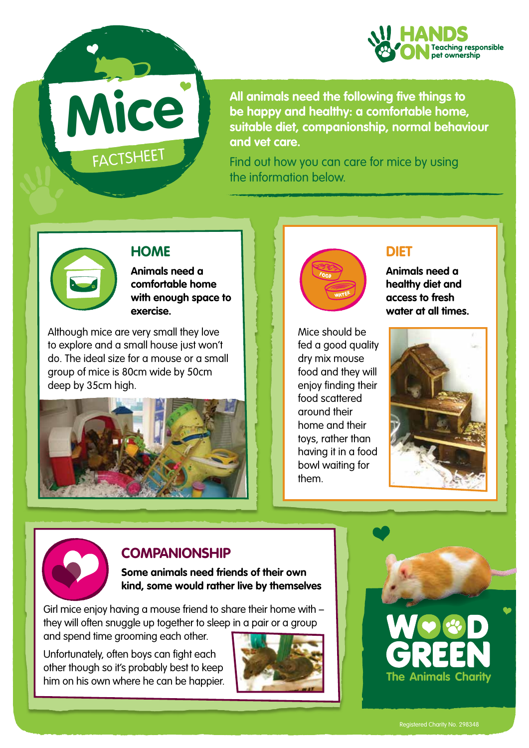

**All animals need the following five things to be happy and healthy: a comfortable home, suitable diet, companionship, normal behaviour and vet care.** 

Find out how you can care for mice by using the information below.



### **HOME**

**Mice**

**FACTSHEET** 

**Animals need a comfortable home with enough space to exercise.** 

Although mice are very small they love to explore and a small house just won't do. The ideal size for a mouse or a small group of mice is 80cm wide by 50cm deep by 35cm high.





#### Mice should be fed a good quality dry mix mouse food and they will enjoy finding their food scattered around their home and their toys, rather than having it in a food bowl waiting for them.

### **DIET**

**Animals need a healthy diet and access to fresh water at all times.**





### **COMPANIONSHIP**

**Some animals need friends of their own kind, some would rather live by themselves** 

Girl mice enjoy having a mouse friend to share their home with – they will often snuggle up together to sleep in a pair or a group and spend time grooming each other.

Unfortunately, often boys can fight each other though so it's probably best to keep him on his own where he can be happier.